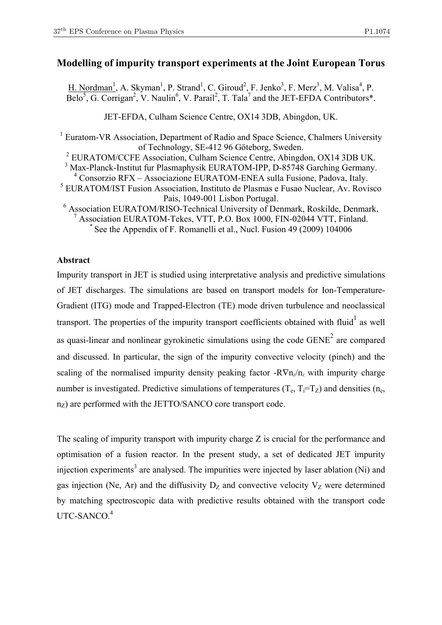# Modelling of impurity transport experiments at the Joint European Torus

 $\underline{H. Nordman}^1$ , A. Skyman<sup>1</sup>, P. Strand<sup>1</sup>, C. Giroud<sup>2</sup>, F. Jenko<sup>3</sup>, F. Merz<sup>3</sup>, M. Valisa<sup>4</sup>, P. Belo<sup>5</sup>, G. Corrigan<sup>2</sup>, V. Naulin<sup>6</sup>, V. Parail<sup>2</sup>, T. Tala<sup>7</sup> and the JET-EFDA Contributors\*.

JET-EFDA, Culham Science Centre, OX14 3DB, Abingdon, UK.

<sup>1</sup> Euratom-VR Association, Department of Radio and Space Science, Chalmers University of Technology, SE-412 96 Göteborg, Sweden. <sup>2</sup> EURATOM/CCFE Association, Culham Science Centre, Abingdon, OX14 3DB UK.

<sup>3</sup> Max-Planck-Institut fur Plasmaphysik EURATOM-IPP, D-85748 Garching Germany.

4 Consorzio RFX – Associazione EURATOM-ENEA sulla Fusione, Padova, Italy.

- 5 EURATOM/IST Fusion Association, Instituto de Plasmas e Fusao Nuclear, Av. Rovisco Pais, 1049-001 Lisbon Portugal.
- 6 Association EURATOM/RISO-Technical University of Denmark, Roskilde, Denmark. <sup>7</sup> Association EURATOM-Tekes, VTT, P.O. Box 1000, FIN-02044 VTT, Finland. \* See the Appendix of F. Romanelli et al., Nucl. Fusion 49 (2009) 104006

## Abstract

Impurity transport in JET is studied using interpretative analysis and predictive simulations of JET discharges. The simulations are based on transport models for Ion-Temperature-Gradient (ITG) mode and Trapped-Electron (TE) mode driven turbulence and neoclassical transport. The properties of the impurity transport coefficients obtained with fluid<sup>1</sup> as well as quasi-linear and nonlinear gyrokinetic simulations using the code  $GENE<sup>2</sup>$  are compared and discussed. In particular, the sign of the impurity convective velocity (pinch) and the scaling of the normalised impurity density peaking factor  $-R\nabla n_z/n_z$  with impurity charge number is investigated. Predictive simulations of temperatures  $(T_e, T_i = T_Z)$  and densities  $(n_e, T_i = T_Z)$  $n_Z$ ) are performed with the JETTO/SANCO core transport code.

The scaling of impurity transport with impurity charge Z is crucial for the performance and optimisation of a fusion reactor. In the present study, a set of dedicated JET impurity injection experiments<sup>3</sup> are analysed. The impurities were injected by laser ablation (Ni) and gas injection (Ne, Ar) and the diffusivity  $D_z$  and convective velocity  $V_z$  were determined by matching spectroscopic data with predictive results obtained with the transport code UTC-SANCO.<sup>4</sup>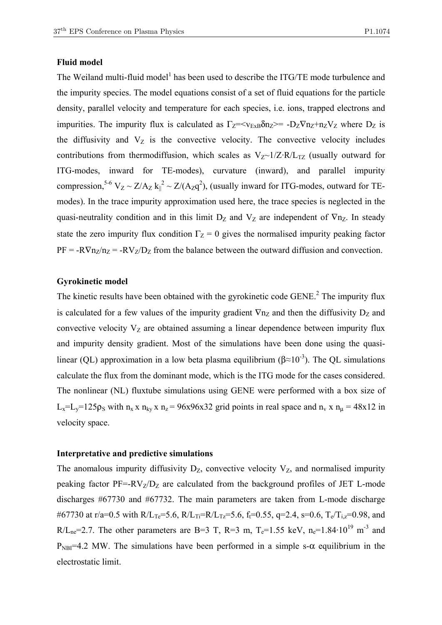### Fluid model

The Weiland multi-fluid model<sup>1</sup> has been used to describe the ITG/TE mode turbulence and the impurity species. The model equations consist of a set of fluid equations for the particle density, parallel velocity and temperature for each species, i.e. ions, trapped electrons and impurities. The impurity flux is calculated as  $\Gamma_Z = \langle v_{ExB} \delta n_Z \rangle = -D_Z \nabla n_Z + n_Z V_Z$  where  $D_Z$  is the diffusivity and  $V_Z$  is the convective velocity. The convective velocity includes contributions from thermodiffusion, which scales as  $V_Z \sim 1/Z \cdot R/L_{TZ}$  (usually outward for ITG-modes, inward for TE-modes), curvature (inward), and parallel impurity compression,<sup>5-6</sup>  $V_Z \sim Z/A_Z k_{\parallel}^2 \sim Z/(A_Z q^2)$ , (usually inward for ITG-modes, outward for TEmodes). In the trace impurity approximation used here, the trace species is neglected in the quasi-neutrality condition and in this limit  $D_Z$  and  $V_Z$  are independent of  $\nabla n_Z$ . In steady state the zero impurity flux condition  $\Gamma$ <sub>Z</sub> = 0 gives the normalised impurity peaking factor  $PF = -RVn_Z/n_Z = -RV_Z/D_Z$  from the balance between the outward diffusion and convection.

### Gyrokinetic model

The kinetic results have been obtained with the gyrokinetic code GENE.<sup>2</sup> The impurity flux is calculated for a few values of the impurity gradient  $\nabla n_z$  and then the diffusivity  $D_z$  and convective velocity  $V_Z$  are obtained assuming a linear dependence between impurity flux and impurity density gradient. Most of the simulations have been done using the quasilinear (QL) approximation in a low beta plasma equilibrium ( $\beta \approx 10^{-3}$ ). The QL simulations calculate the flux from the dominant mode, which is the ITG mode for the cases considered. The nonlinear (NL) fluxtube simulations using GENE were performed with a box size of L<sub>x</sub>=L<sub>y</sub>=125 $\rho_s$  with  $n_x x n_{ky} x n_z = 96x96x32$  grid points in real space and  $n_v x n_\mu = 48x12$  in velocity space.

### Interpretative and predictive simulations

The anomalous impurity diffusivity  $D_z$ , convective velocity  $V_z$ , and normalised impurity peaking factor  $PF = RV_Z/D_Z$  are calculated from the background profiles of JET L-mode discharges #67730 and #67732. The main parameters are taken from L-mode discharge #67730 at r/a=0.5 with  $R/L_{Te}$ =5.6,  $R/L_{Ti}$ = $R/L_{Tz}$ =5.6,  $f_t$ =0.55, q=2.4, s=0.6, T<sub>e</sub>/T<sub>i,z</sub>=0.98, and R/L<sub>ne</sub>=2.7. The other parameters are B=3 T, R=3 m, T<sub>e</sub>=1.55 keV, n<sub>e</sub>=1.84·10<sup>19</sup> m<sup>-3</sup> and  $P_{NBI}$ =4.2 MW. The simulations have been performed in a simple s- $\alpha$  equilibrium in the electrostatic limit.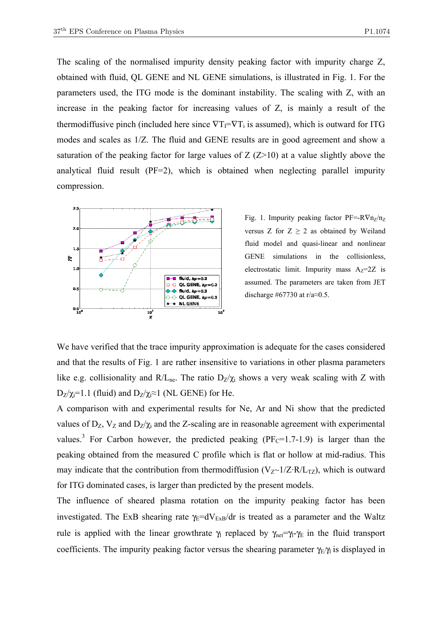The scaling of the normalised impurity density peaking factor with impurity charge Z, obtained with fluid, QL GENE and NL GENE simulations, is illustrated in Fig. 1. For the parameters used, the ITG mode is the dominant instability. The scaling with Z, with an increase in the peaking factor for increasing values of Z, is mainly a result of the thermodiffusive pinch (included here since  $\nabla T_I = \nabla T_i$  is assumed), which is outward for ITG modes and scales as 1/Z. The fluid and GENE results are in good agreement and show a saturation of the peaking factor for large values of  $Z$  ( $Z$ >10) at a value slightly above the analytical fluid result (PF=2), which is obtained when neglecting parallel impurity compression.



Fig. 1. Impurity peaking factor PF=- $R\nabla$ n<sub>Z</sub>/n<sub>Z</sub> versus Z for  $Z \ge 2$  as obtained by Weiland fluid model and quasi-linear and nonlinear GENE simulations in the collisionless, electrostatic limit. Impurity mass  $A<sub>Z</sub>=2Z$  is assumed. The parameters are taken from JET discharge #67730 at r/a $\approx$ 0.5.

We have verified that the trace impurity approximation is adequate for the cases considered and that the results of Fig. 1 are rather insensitive to variations in other plasma parameters like e.g. collisionality and  $R/L_{\text{ne}}$ . The ratio  $D_Z/\chi_i$  shows a very weak scaling with Z with  $D_Z/\chi_i=1.1$  (fluid) and  $D_Z/\chi_i\approx1$  (NL GENE) for He.

A comparison with and experimental results for Ne, Ar and Ni show that the predicted values of  $D_z$ ,  $V_z$  and  $D_z/\chi_i$  and the Z-scaling are in reasonable agreement with experimental values.<sup>3</sup> For Carbon however, the predicted peaking  $(PF_C=1.7-1.9)$  is larger than the peaking obtained from the measured C profile which is flat or hollow at mid-radius. This may indicate that the contribution from thermodiffusion ( $V_{Z}$ ~1/Z·R/L<sub>TZ</sub>), which is outward for ITG dominated cases, is larger than predicted by the present models.

The influence of sheared plasma rotation on the impurity peaking factor has been investigated. The ExB shearing rate  $\gamma_E=dV_{ExB}/dr$  is treated as a parameter and the Waltz rule is applied with the linear growthrate  $\gamma_1$  replaced by  $\gamma_{\text{net}} = \gamma_1 - \gamma_{\text{E}}$  in the fluid transport coefficients. The impurity peaking factor versus the shearing parameter  $\gamma_E \gamma_I$  is displayed in